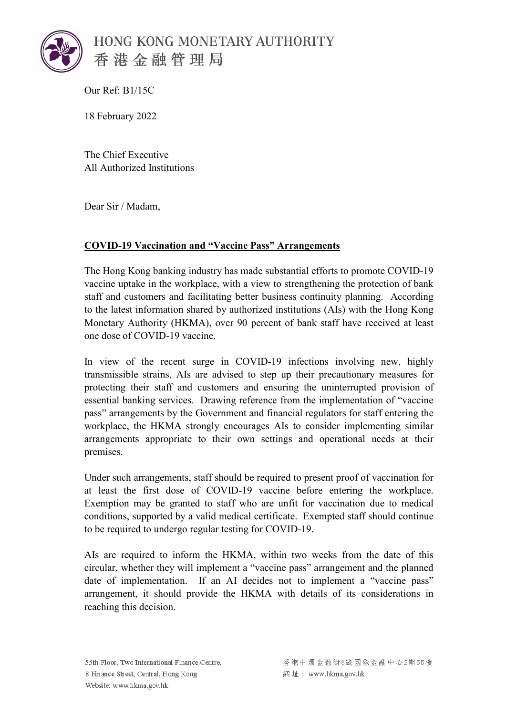

Our Ref: B1/15C

18 February 2022

The Chief Executive All Authorized Institutions

Dear Sir / Madam,

## **COVID-19 Vaccination and "Vaccine Pass" Arrangements**

The Hong Kong banking industry has made substantial efforts to promote COVID-19 vaccine uptake in the workplace, with a view to strengthening the protection of bank staff and customers and facilitating better business continuity planning. According to the latest information shared by authorized institutions (AIs) with the Hong Kong Monetary Authority (HKMA), over 90 percent of bank staff have received at least one dose of COVID-19 vaccine.

In view of the recent surge in COVID-19 infections involving new, highly transmissible strains, AIs are advised to step up their precautionary measures for protecting their staff and customers and ensuring the uninterrupted provision of essential banking services. Drawing reference from the implementation of "vaccine pass" arrangements by the Government and financial regulators for staff entering the workplace, the HKMA strongly encourages AIs to consider implementing similar arrangements appropriate to their own settings and operational needs at their premises.

Under such arrangements, staff should be required to present proof of vaccination for at least the first dose of COVID-19 vaccine before entering the workplace. Exemption may be granted to staff who are unfit for vaccination due to medical conditions, supported by a valid medical certificate. Exempted staff should continue to be required to undergo regular testing for COVID-19.

AIs are required to inform the HKMA, within two weeks from the date of this circular, whether they will implement a "vaccine pass" arrangement and the planned date of implementation. If an AI decides not to implement a "vaccine pass" arrangement, it should provide the HKMA with details of its considerations in reaching this decision.